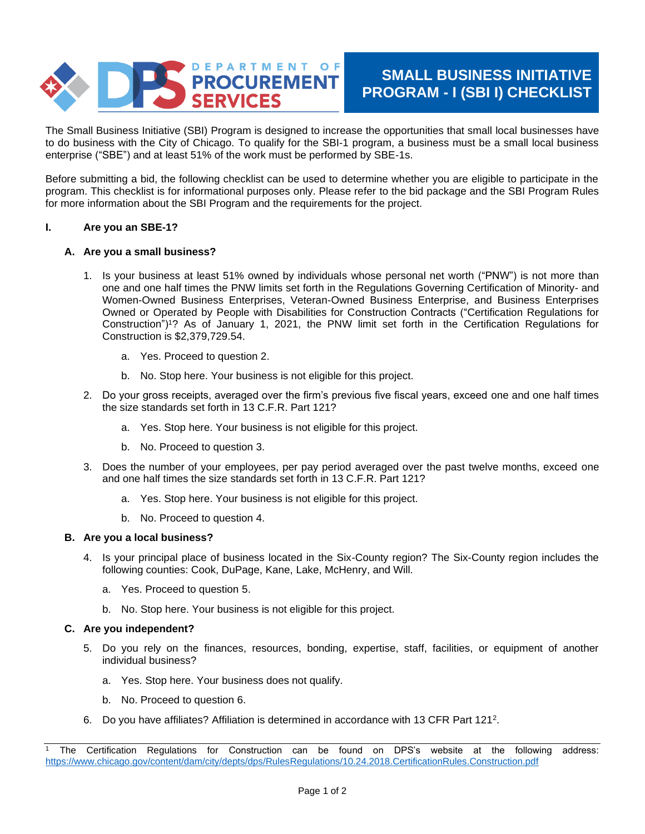

# **SMALL BUSINESS INITIATIVE PROGRAM - I (SBI I) CHECKLIST**

The Small Business Initiative (SBI) Program is designed to increase the opportunities that small local businesses have to do business with the City of Chicago. To qualify for the SBI-1 program, a business must be a small local business enterprise ("SBE") and at least 51% of the work must be performed by SBE-1s.

Before submitting a bid, the following checklist can be used to determine whether you are eligible to participate in the program. This checklist is for informational purposes only. Please refer to the bid package and the SBI Program Rules for more information about the SBI Program and the requirements for the project.

### **I. Are you an SBE-1?**

# **A. Are you a small business?**

- 1. Is your business at least 51% owned by individuals whose personal net worth ("PNW") is not more than one and one half times the PNW limits set forth in the Regulations Governing Certification of Minority- and Women-Owned Business Enterprises, Veteran-Owned Business Enterprise, and Business Enterprises Owned or Operated by People with Disabilities for Construction Contracts ("Certification Regulations for Construction")<sup>1</sup>? As of January 1, 2021, the PNW limit set forth in the Certification Regulations for Construction is \$2,379,729.54.
	- a. Yes. Proceed to question 2.
	- b. No. Stop here. Your business is not eligible for this project.
- 2. Do your gross receipts, averaged over the firm's previous five fiscal years, exceed one and one half times the size standards set forth in 13 C.F.R. Part 121?
	- a. Yes. Stop here. Your business is not eligible for this project.
	- b. No. Proceed to question 3.
- 3. Does the number of your employees, per pay period averaged over the past twelve months, exceed one and one half times the size standards set forth in 13 C.F.R. Part 121?
	- a. Yes. Stop here. Your business is not eligible for this project.
	- b. No. Proceed to question 4.

### **B. Are you a local business?**

- 4. Is your principal place of business located in the Six-County region? The Six-County region includes the following counties: Cook, DuPage, Kane, Lake, McHenry, and Will.
	- a. Yes. Proceed to question 5.
	- b. No. Stop here. Your business is not eligible for this project.

### **C. Are you independent?**

- 5. Do you rely on the finances, resources, bonding, expertise, staff, facilities, or equipment of another individual business?
	- a. Yes. Stop here. Your business does not qualify.
	- b. No. Proceed to question 6.
- 6. Do you have affiliates? Affiliation is determined in accordance with 13 CFR Part 121<sup>2</sup> .

<sup>1</sup> The Certification Regulations for Construction can be found on DPS's website at the following address: <https://www.chicago.gov/content/dam/city/depts/dps/RulesRegulations/10.24.2018.CertificationRules.Construction.pdf>